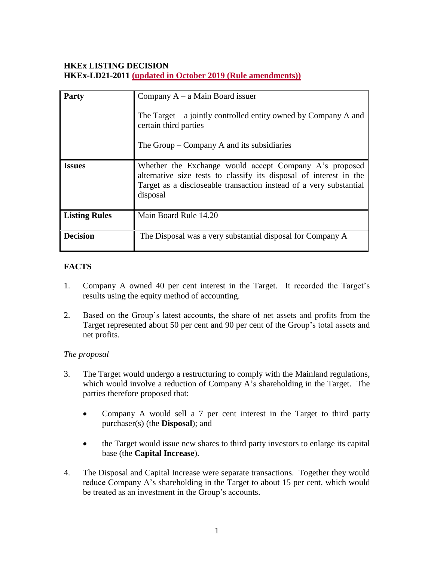# **HKEx LISTING DECISION HKEx-LD21-2011 (updated in October 2019 (Rule amendments))**

| <b>Party</b>         | Company $A - a$ Main Board issuer<br>The Target – a jointly controlled entity owned by Company A and<br>certain third parties<br>The Group – Company A and its subsidiaries                                    |
|----------------------|----------------------------------------------------------------------------------------------------------------------------------------------------------------------------------------------------------------|
| <b>Issues</b>        | Whether the Exchange would accept Company A's proposed<br>alternative size tests to classify its disposal of interest in the<br>Target as a discloseable transaction instead of a very substantial<br>disposal |
| <b>Listing Rules</b> | Main Board Rule 14.20                                                                                                                                                                                          |
| <b>Decision</b>      | The Disposal was a very substantial disposal for Company A                                                                                                                                                     |

## **FACTS**

- 1. Company A owned 40 per cent interest in the Target. It recorded the Target's results using the equity method of accounting.
- 2. Based on the Group's latest accounts, the share of net assets and profits from the Target represented about 50 per cent and 90 per cent of the Group's total assets and net profits.

### *The proposal*

- 3. The Target would undergo a restructuring to comply with the Mainland regulations, which would involve a reduction of Company A's shareholding in the Target. The parties therefore proposed that:
	- Company A would sell a 7 per cent interest in the Target to third party purchaser(s) (the **Disposal**); and
	- the Target would issue new shares to third party investors to enlarge its capital base (the **Capital Increase**).
- 4. The Disposal and Capital Increase were separate transactions. Together they would reduce Company A's shareholding in the Target to about 15 per cent, which would be treated as an investment in the Group's accounts.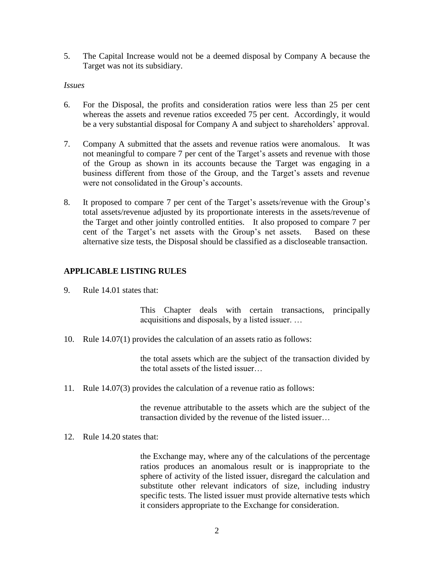5. The Capital Increase would not be a deemed disposal by Company A because the Target was not its subsidiary.

#### *Issues*

- 6. For the Disposal, the profits and consideration ratios were less than 25 per cent whereas the assets and revenue ratios exceeded 75 per cent. Accordingly, it would be a very substantial disposal for Company A and subject to shareholders' approval.
- 7. Company A submitted that the assets and revenue ratios were anomalous. It was not meaningful to compare 7 per cent of the Target's assets and revenue with those of the Group as shown in its accounts because the Target was engaging in a business different from those of the Group, and the Target's assets and revenue were not consolidated in the Group's accounts.
- 8. It proposed to compare 7 per cent of the Target's assets/revenue with the Group's total assets/revenue adjusted by its proportionate interests in the assets/revenue of the Target and other jointly controlled entities. It also proposed to compare 7 per cent of the Target's net assets with the Group's net assets. Based on these alternative size tests, the Disposal should be classified as a discloseable transaction.

### **APPLICABLE LISTING RULES**

9. Rule 14.01 states that:

This Chapter deals with certain transactions, principally acquisitions and disposals, by a listed issuer. …

10. Rule 14.07(1) provides the calculation of an assets ratio as follows:

the total assets which are the subject of the transaction divided by the total assets of the listed issuer…

11. Rule 14.07(3) provides the calculation of a revenue ratio as follows:

the revenue attributable to the assets which are the subject of the transaction divided by the revenue of the listed issuer…

12. Rule 14.20 states that:

the Exchange may, where any of the calculations of the percentage ratios produces an anomalous result or is inappropriate to the sphere of activity of the listed issuer, disregard the calculation and substitute other relevant indicators of size, including industry specific tests. The listed issuer must provide alternative tests which it considers appropriate to the Exchange for consideration.